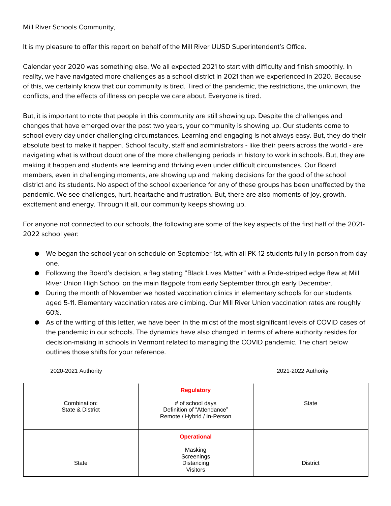Mill River Schools Community,

It is my pleasure to offer this report on behalf of the Mill River UUSD Superintendent's Office.

Calendar year 2020 was something else. We all expected 2021 to start with difficulty and finish smoothly. In reality, we have navigated more challenges as a school district in 2021 than we experienced in 2020. Because of this, we certainly know that our community is tired. Tired of the pandemic, the restrictions, the unknown, the conflicts, and the effects of illness on people we care about. Everyone is tired.

But, it is important to note that people in this community are still showing up. Despite the challenges and changes that have emerged over the past two years, your community is showing up. Our students come to school every day under challenging circumstances. Learning and engaging is not always easy. But, they do their absolute best to make it happen. School faculty, staff and administrators - like their peers across the world - are navigating what is without doubt one of the more challenging periods in history to work in schools. But, they are making it happen and students are learning and thriving even under difficult circumstances. Our Board members, even in challenging moments, are showing up and making decisions for the good of the school district and its students. No aspect of the school experience for any of these groups has been unaffected by the pandemic. We see challenges, hurt, heartache and frustration. But, there are also moments of joy, growth, excitement and energy. Through it all, our community keeps showing up.

For anyone not connected to our schools, the following are some of the key aspects of the first half of the 2021- 2022 school year:

- We began the school year on schedule on September 1st, with all PK-12 students fully in-person from day one.
- Following the Board's decision, a flag stating "Black Lives Matter" with a Pride-striped edge flew at Mill River Union High School on the main flagpole from early September through early December.
- During the month of November we hosted vaccination clinics in elementary schools for our students aged 5-11. Elementary vaccination rates are climbing. Our Mill River Union vaccination rates are roughly 60%.
- As of the writing of this letter, we have been in the midst of the most significant levels of COVID cases of the pandemic in our schools. The dynamics have also changed in terms of where authority resides for decision-making in schools in Vermont related to managing the COVID pandemic. The chart below outlines those shifts for your reference.

2020-2021 Authority 2021-2022 Authority

| Combination:<br>State & District | <b>Regulatory</b><br># of school days<br>Definition of "Attendance"<br>Remote / Hybrid / In-Person | <b>State</b>    |
|----------------------------------|----------------------------------------------------------------------------------------------------|-----------------|
| State                            | <b>Operational</b><br>Masking<br>Screenings<br>Distancing<br>Visitors                              | <b>District</b> |